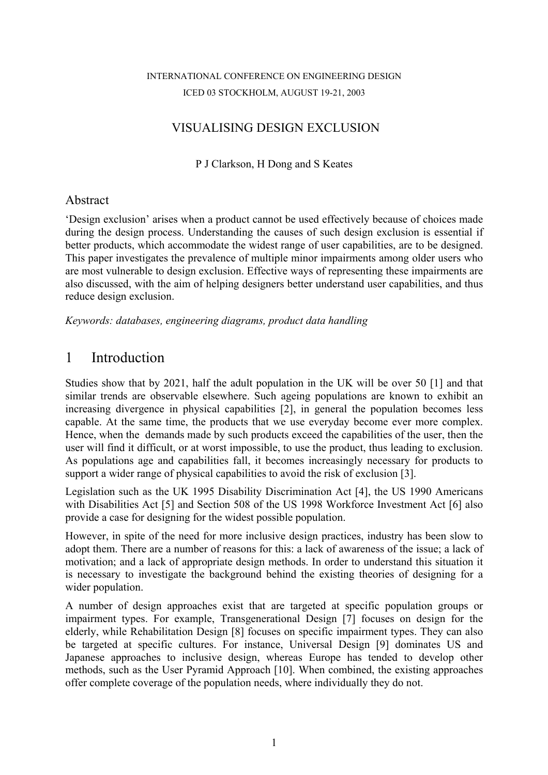#### INTERNATIONAL CONFERENCE ON ENGINEERING DESIGN ICED 03 STOCKHOLM, AUGUST 19-21, 2003

### VISUALISING DESIGN EXCLUSION

P J Clarkson, H Dong and S Keates

#### Abstract

'Design exclusion' arises when a product cannot be used effectively because of choices made during the design process. Understanding the causes of such design exclusion is essential if better products, which accommodate the widest range of user capabilities, are to be designed. This paper investigates the prevalence of multiple minor impairments among older users who are most vulnerable to design exclusion. Effective ways of representing these impairments are also discussed, with the aim of helping designers better understand user capabilities, and thus reduce design exclusion.

*Keywords: databases, engineering diagrams, product data handling*

## 1 Introduction

Studies show that by 2021, half the adult population in the UK will be over 50 [1] and that similar trends are observable elsewhere. Such ageing populations are known to exhibit an increasing divergence in physical capabilities [2], in general the population becomes less capable. At the same time, the products that we use everyday become ever more complex. Hence, when the demands made by such products exceed the capabilities of the user, then the user will find it difficult, or at worst impossible, to use the product, thus leading to exclusion. As populations age and capabilities fall, it becomes increasingly necessary for products to support a wider range of physical capabilities to avoid the risk of exclusion [3].

Legislation such as the UK 1995 Disability Discrimination Act [4], the US 1990 Americans with Disabilities Act [5] and Section 508 of the US 1998 Workforce Investment Act [6] also provide a case for designing for the widest possible population.

However, in spite of the need for more inclusive design practices, industry has been slow to adopt them. There are a number of reasons for this: a lack of awareness of the issue; a lack of motivation; and a lack of appropriate design methods. In order to understand this situation it is necessary to investigate the background behind the existing theories of designing for a wider population.

A number of design approaches exist that are targeted at specific population groups or impairment types. For example, Transgenerational Design [7] focuses on design for the elderly, while Rehabilitation Design [8] focuses on specific impairment types. They can also be targeted at specific cultures. For instance, Universal Design [9] dominates US and Japanese approaches to inclusive design, whereas Europe has tended to develop other methods, such as the User Pyramid Approach [10]. When combined, the existing approaches offer complete coverage of the population needs, where individually they do not.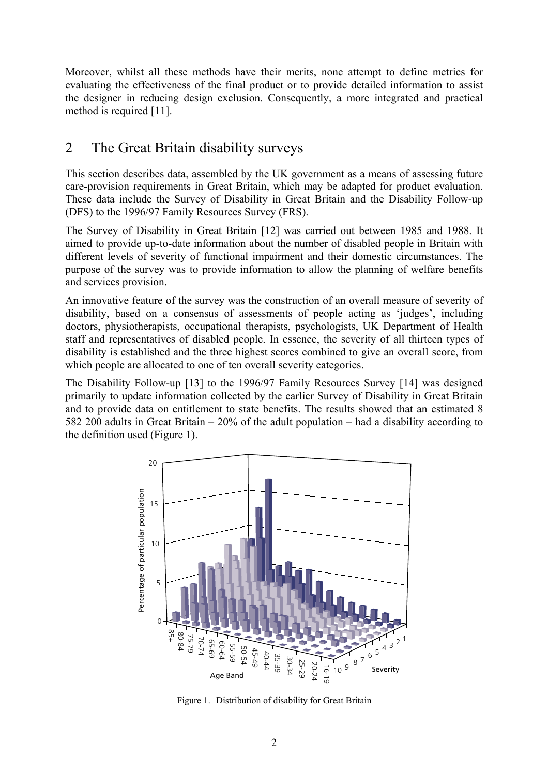Moreover, whilst all these methods have their merits, none attempt to define metrics for evaluating the effectiveness of the final product or to provide detailed information to assist the designer in reducing design exclusion. Consequently, a more integrated and practical method is required [11].

# 2 The Great Britain disability surveys

This section describes data, assembled by the UK government as a means of assessing future care-provision requirements in Great Britain, which may be adapted for product evaluation. These data include the Survey of Disability in Great Britain and the Disability Follow-up (DFS) to the 1996/97 Family Resources Survey (FRS).

The Survey of Disability in Great Britain [12] was carried out between 1985 and 1988. It aimed to provide up-to-date information about the number of disabled people in Britain with different levels of severity of functional impairment and their domestic circumstances. The purpose of the survey was to provide information to allow the planning of welfare benefits and services provision.

An innovative feature of the survey was the construction of an overall measure of severity of disability, based on a consensus of assessments of people acting as 'judges', including doctors, physiotherapists, occupational therapists, psychologists, UK Department of Health staff and representatives of disabled people. In essence, the severity of all thirteen types of disability is established and the three highest scores combined to give an overall score, from which people are allocated to one of ten overall severity categories.

The Disability Follow-up [13] to the 1996/97 Family Resources Survey [14] was designed primarily to update information collected by the earlier Survey of Disability in Great Britain and to provide data on entitlement to state benefits. The results showed that an estimated 8 582 200 adults in Great Britain – 20% of the adult population – had a disability according to the definition used (Figure 1).



Figure 1. Distribution of disability for Great Britain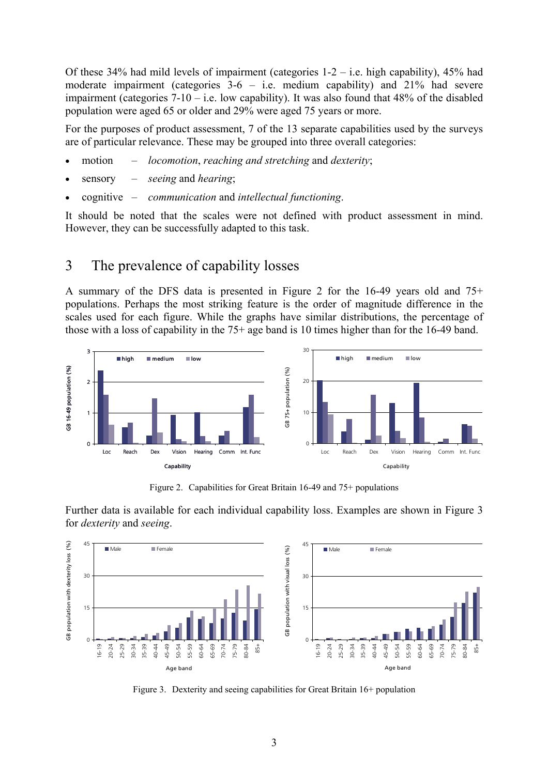Of these 34% had mild levels of impairment (categories  $1-2 - i.e.$  high capability), 45% had moderate impairment (categories 3-6 – i.e. medium capability) and 21% had severe impairment (categories  $7-10 - i.e.$  low capability). It was also found that 48% of the disabled population were aged 65 or older and 29% were aged 75 years or more.

For the purposes of product assessment, 7 of the 13 separate capabilities used by the surveys are of particular relevance. These may be grouped into three overall categories:

- motion *locomotion*, *reaching and stretching* and *dexterity*;
- sensory *seeing* and *hearing*;
- cognitive *communication* and *intellectual functioning*.

It should be noted that the scales were not defined with product assessment in mind. However, they can be successfully adapted to this task.

### 3 The prevalence of capability losses

A summary of the DFS data is presented in Figure 2 for the 16-49 years old and 75+ populations. Perhaps the most striking feature is the order of magnitude difference in the scales used for each figure. While the graphs have similar distributions, the percentage of those with a loss of capability in the 75+ age band is 10 times higher than for the 16-49 band.



Figure 2. Capabilities for Great Britain 16-49 and 75+ populations

Further data is available for each individual capability loss. Examples are shown in Figure 3 for *dexterity* and *seeing*.



Figure 3. Dexterity and seeing capabilities for Great Britain 16+ population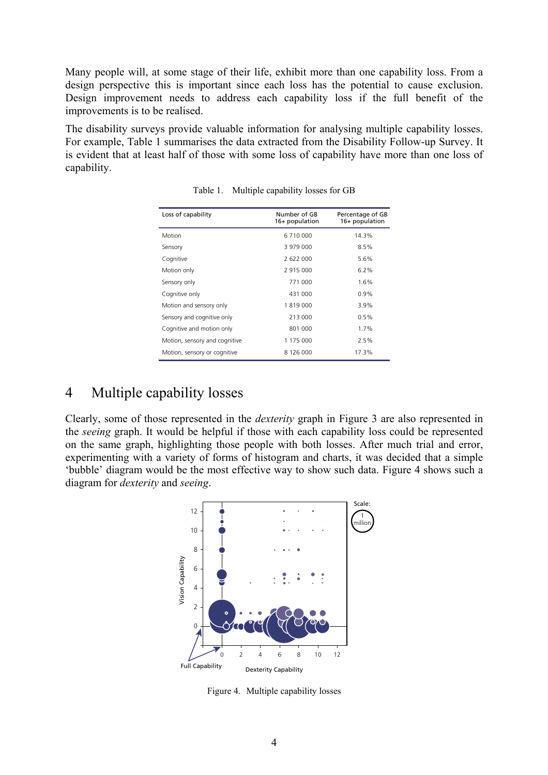Many people will, at some stage of their life, exhibit more than one capability loss. From a design perspective this is important since each loss has the potential to cause exclusion. Design improvement needs to address each capability loss if the full benefit of the improvements is to be realised.

The disability surveys provide valuable information for analysing multiple capability losses. For example, Table 1 summarises the data extracted from the Disability Follow-up Survey. It is evident that at least half of those with some loss of capability have more than one loss of capability.

| Loss of capability            | Number of GB<br>16+ population | Percentage of GB<br>16+ population |  |
|-------------------------------|--------------------------------|------------------------------------|--|
| Motion                        | 6 710 000                      | 14.3%                              |  |
| Sensory                       | 3 979 000                      | 8.5%                               |  |
| Cognitive                     | 2622000                        | 5.6%                               |  |
| Motion only                   | 2915000                        | 6.2%                               |  |
| Sensory only                  | 771 000                        | 1.6%                               |  |
| Cognitive only                | 431 000                        | 0.9%                               |  |
| Motion and sensory only       | 1819000                        | 3.9%                               |  |
| Sensory and cognitive only    | 213 000                        | 0.5%                               |  |
| Cognitive and motion only     | 801 000                        | 1.7%                               |  |
| Motion, sensory and cognitive | 1 175 000                      | 2.5%                               |  |
| Motion, sensory or cognitive  | 8 126 000                      | 17.3%                              |  |

Table 1. Multiple capability losses for GB

## 4 Multiple capability losses

Clearly, some of those represented in the *dexterity* graph in Figure 3 are also represented in the *seeing* graph. It would be helpful if those with each capability loss could be represented on the same graph, highlighting those people with both losses. After much trial and error, experimenting with a variety of forms of histogram and charts, it was decided that a simple 'bubble' diagram would be the most effective way to show such data. Figure 4 shows such a diagram for *dexterity* and *seeing*.



Figure 4. Multiple capability losses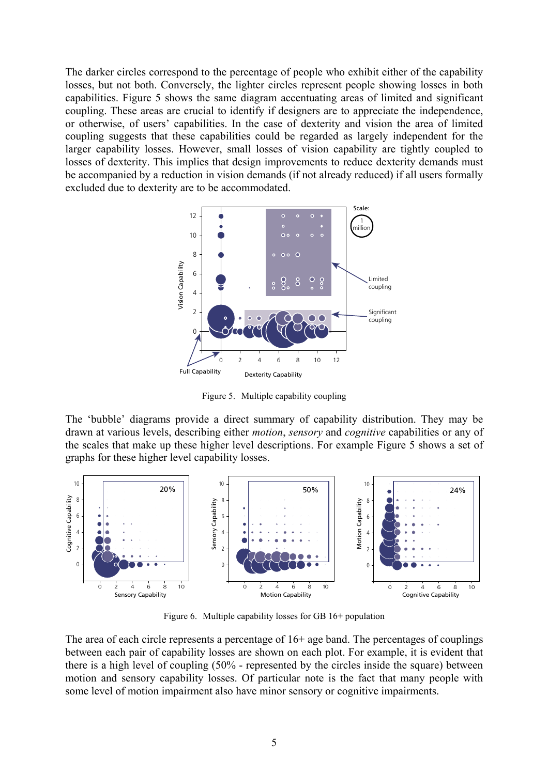The darker circles correspond to the percentage of people who exhibit either of the capability losses, but not both. Conversely, the lighter circles represent people showing losses in both capabilities. Figure 5 shows the same diagram accentuating areas of limited and significant coupling. These areas are crucial to identify if designers are to appreciate the independence, or otherwise, of users' capabilities. In the case of dexterity and vision the area of limited coupling suggests that these capabilities could be regarded as largely independent for the larger capability losses. However, small losses of vision capability are tightly coupled to losses of dexterity. This implies that design improvements to reduce dexterity demands must be accompanied by a reduction in vision demands (if not already reduced) if all users formally excluded due to dexterity are to be accommodated.



Figure 5. Multiple capability coupling

The 'bubble' diagrams provide a direct summary of capability distribution. They may be drawn at various levels, describing either *motion*, *sensory* and *cognitive* capabilities or any of the scales that make up these higher level descriptions. For example Figure 5 shows a set of graphs for these higher level capability losses.



Figure 6. Multiple capability losses for GB 16+ population

The area of each circle represents a percentage of 16+ age band. The percentages of couplings between each pair of capability losses are shown on each plot. For example, it is evident that there is a high level of coupling (50% - represented by the circles inside the square) between motion and sensory capability losses. Of particular note is the fact that many people with some level of motion impairment also have minor sensory or cognitive impairments.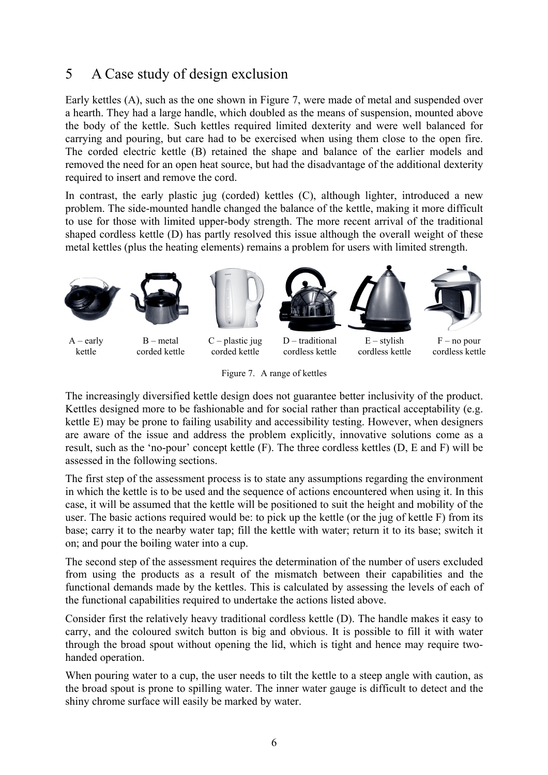# 5 A Case study of design exclusion

Early kettles (A), such as the one shown in Figure 7, were made of metal and suspended over a hearth. They had a large handle, which doubled as the means of suspension, mounted above the body of the kettle. Such kettles required limited dexterity and were well balanced for carrying and pouring, but care had to be exercised when using them close to the open fire. The corded electric kettle (B) retained the shape and balance of the earlier models and removed the need for an open heat source, but had the disadvantage of the additional dexterity required to insert and remove the cord.

In contrast, the early plastic jug (corded) kettles (C), although lighter, introduced a new problem. The side-mounted handle changed the balance of the kettle, making it more difficult to use for those with limited upper-body strength. The more recent arrival of the traditional shaped cordless kettle (D) has partly resolved this issue although the overall weight of these metal kettles (plus the heating elements) remains a problem for users with limited strength.





kettle corded kettle corded kettle cordless kettle cordless kettle cordless kettle



Figure 7. A range of kettles

The increasingly diversified kettle design does not guarantee better inclusivity of the product. Kettles designed more to be fashionable and for social rather than practical acceptability (e.g. kettle E) may be prone to failing usability and accessibility testing. However, when designers are aware of the issue and address the problem explicitly, innovative solutions come as a result, such as the 'no-pour' concept kettle (F). The three cordless kettles (D, E and F) will be assessed in the following sections.

The first step of the assessment process is to state any assumptions regarding the environment in which the kettle is to be used and the sequence of actions encountered when using it. In this case, it will be assumed that the kettle will be positioned to suit the height and mobility of the user. The basic actions required would be: to pick up the kettle (or the jug of kettle F) from its base; carry it to the nearby water tap; fill the kettle with water; return it to its base; switch it on; and pour the boiling water into a cup.

The second step of the assessment requires the determination of the number of users excluded from using the products as a result of the mismatch between their capabilities and the functional demands made by the kettles. This is calculated by assessing the levels of each of the functional capabilities required to undertake the actions listed above.

Consider first the relatively heavy traditional cordless kettle (D). The handle makes it easy to carry, and the coloured switch button is big and obvious. It is possible to fill it with water through the broad spout without opening the lid, which is tight and hence may require twohanded operation.

When pouring water to a cup, the user needs to tilt the kettle to a steep angle with caution, as the broad spout is prone to spilling water. The inner water gauge is difficult to detect and the shiny chrome surface will easily be marked by water.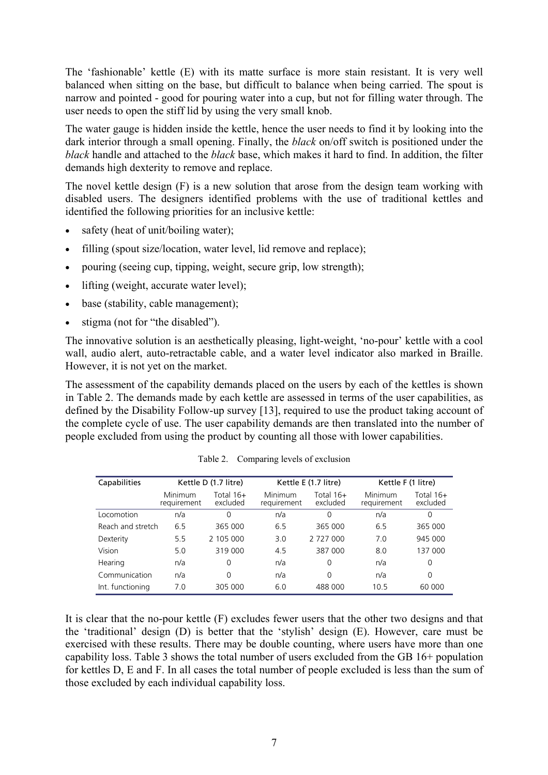The 'fashionable' kettle (E) with its matte surface is more stain resistant. It is very well balanced when sitting on the base, but difficult to balance when being carried. The spout is narrow and pointed - good for pouring water into a cup, but not for filling water through. The user needs to open the stiff lid by using the very small knob.

The water gauge is hidden inside the kettle, hence the user needs to find it by looking into the dark interior through a small opening. Finally, the *black* on/off switch is positioned under the *black* handle and attached to the *black* base, which makes it hard to find. In addition, the filter demands high dexterity to remove and replace.

The novel kettle design (F) is a new solution that arose from the design team working with disabled users. The designers identified problems with the use of traditional kettles and identified the following priorities for an inclusive kettle:

- safety (heat of unit/boiling water);
- filling (spout size/location, water level, lid remove and replace);
- pouring (seeing cup, tipping, weight, secure grip, low strength);
- lifting (weight, accurate water level);
- base (stability, cable management);
- stigma (not for "the disabled").

The innovative solution is an aesthetically pleasing, light-weight, 'no-pour' kettle with a cool wall, audio alert, auto-retractable cable, and a water level indicator also marked in Braille. However, it is not yet on the market.

The assessment of the capability demands placed on the users by each of the kettles is shown in Table 2. The demands made by each kettle are assessed in terms of the user capabilities, as defined by the Disability Follow-up survey [13], required to use the product taking account of the complete cycle of use. The user capability demands are then translated into the number of people excluded from using the product by counting all those with lower capabilities.

| Capabilities      | Kettle D (1.7 litre)          |                         | Kettle E (1.7 litre)   |                         | Kettle F (1 litre)            |                         |
|-------------------|-------------------------------|-------------------------|------------------------|-------------------------|-------------------------------|-------------------------|
|                   | <b>Minimum</b><br>requirement | Total $16+$<br>excluded | Minimum<br>requirement | Total $16+$<br>excluded | <b>Minimum</b><br>requirement | Total $16+$<br>excluded |
| Locomotion        | n/a                           | 0                       | n/a                    | $\Omega$                | n/a                           | $\Omega$                |
| Reach and stretch | 6.5                           | 365 000                 | 6.5                    | 365 000                 | 6.5                           | 365 000                 |
| Dexterity         | 5.5                           | 2 105 000               | 3.0                    | 2 727 000               | 7.0                           | 945 000                 |
| Vision            | 5.0                           | 319 000                 | 4.5                    | 387 000                 | 8.0                           | 137 000                 |
| Hearing           | n/a                           | 0                       | n/a                    | $\Omega$                | n/a                           | 0                       |
| Communication     | n/a                           | 0                       | n/a                    | $\Omega$                | n/a                           | $\Omega$                |
| Int. functioning  | 7.0                           | 305 000                 | 6.0                    | 488 000                 | 10.5                          | 60 000                  |

Table 2. Comparing levels of exclusion

It is clear that the no-pour kettle (F) excludes fewer users that the other two designs and that the 'traditional' design (D) is better that the 'stylish' design (E). However, care must be exercised with these results. There may be double counting, where users have more than one capability loss. Table 3 shows the total number of users excluded from the GB 16+ population for kettles D, E and F. In all cases the total number of people excluded is less than the sum of those excluded by each individual capability loss.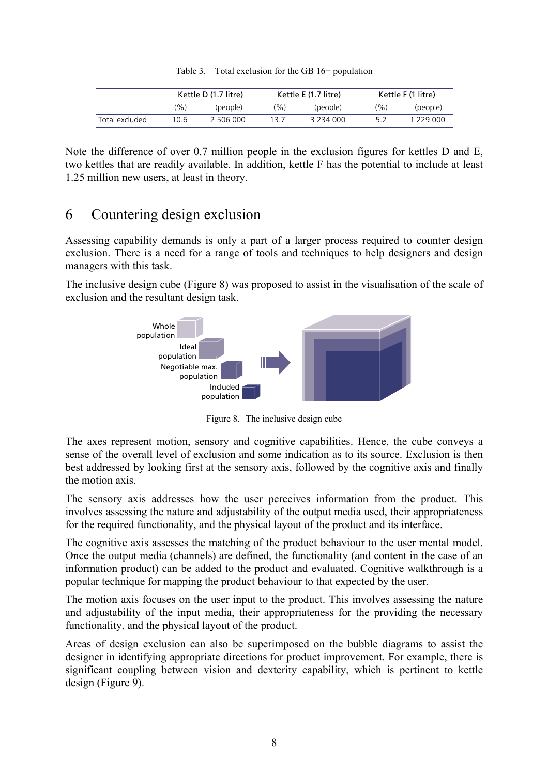|  |  |  | Table 3. Total exclusion for the GB 16+ population |
|--|--|--|----------------------------------------------------|
|--|--|--|----------------------------------------------------|

|                | Kettle D (1.7 litre) |           | Kettle E (1.7 litre) |           | Kettle F (1 litre) |           |
|----------------|----------------------|-----------|----------------------|-----------|--------------------|-----------|
|                | '%)                  | (people)  | $\frac{1}{2}$        | (people)  | (%)                | (people)  |
| Total excluded | 10.6                 | 2 506 000 | 13.7                 | 3 234 000 | 52                 | 1 229 000 |

Note the difference of over 0.7 million people in the exclusion figures for kettles D and E, two kettles that are readily available. In addition, kettle F has the potential to include at least 1.25 million new users, at least in theory.

# 6 Countering design exclusion

Assessing capability demands is only a part of a larger process required to counter design exclusion. There is a need for a range of tools and techniques to help designers and design managers with this task.

The inclusive design cube (Figure 8) was proposed to assist in the visualisation of the scale of exclusion and the resultant design task.



Figure 8. The inclusive design cube

The axes represent motion, sensory and cognitive capabilities. Hence, the cube conveys a sense of the overall level of exclusion and some indication as to its source. Exclusion is then best addressed by looking first at the sensory axis, followed by the cognitive axis and finally the motion axis.

The sensory axis addresses how the user perceives information from the product. This involves assessing the nature and adjustability of the output media used, their appropriateness for the required functionality, and the physical layout of the product and its interface.

The cognitive axis assesses the matching of the product behaviour to the user mental model. Once the output media (channels) are defined, the functionality (and content in the case of an information product) can be added to the product and evaluated. Cognitive walkthrough is a popular technique for mapping the product behaviour to that expected by the user.

The motion axis focuses on the user input to the product. This involves assessing the nature and adjustability of the input media, their appropriateness for the providing the necessary functionality, and the physical layout of the product.

Areas of design exclusion can also be superimposed on the bubble diagrams to assist the designer in identifying appropriate directions for product improvement. For example, there is significant coupling between vision and dexterity capability, which is pertinent to kettle design (Figure 9).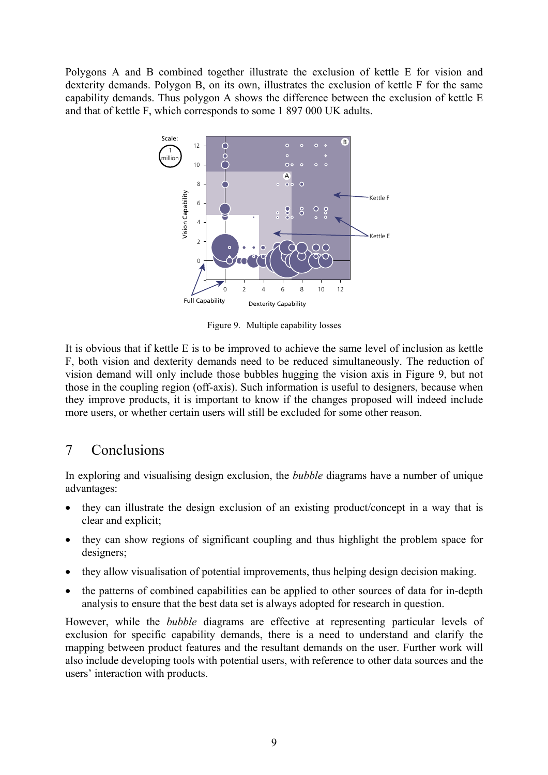Polygons A and B combined together illustrate the exclusion of kettle E for vision and dexterity demands. Polygon B, on its own, illustrates the exclusion of kettle F for the same capability demands. Thus polygon A shows the difference between the exclusion of kettle E and that of kettle F, which corresponds to some 1 897 000 UK adults.



Figure 9. Multiple capability losses

It is obvious that if kettle E is to be improved to achieve the same level of inclusion as kettle F, both vision and dexterity demands need to be reduced simultaneously. The reduction of vision demand will only include those bubbles hugging the vision axis in Figure 9, but not those in the coupling region (off-axis). Such information is useful to designers, because when they improve products, it is important to know if the changes proposed will indeed include more users, or whether certain users will still be excluded for some other reason.

## 7 Conclusions

In exploring and visualising design exclusion, the *bubble* diagrams have a number of unique advantages:

- they can illustrate the design exclusion of an existing product/concept in a way that is clear and explicit;
- they can show regions of significant coupling and thus highlight the problem space for designers;
- they allow visualisation of potential improvements, thus helping design decision making.
- the patterns of combined capabilities can be applied to other sources of data for in-depth analysis to ensure that the best data set is always adopted for research in question.

However, while the *bubble* diagrams are effective at representing particular levels of exclusion for specific capability demands, there is a need to understand and clarify the mapping between product features and the resultant demands on the user. Further work will also include developing tools with potential users, with reference to other data sources and the users' interaction with products.